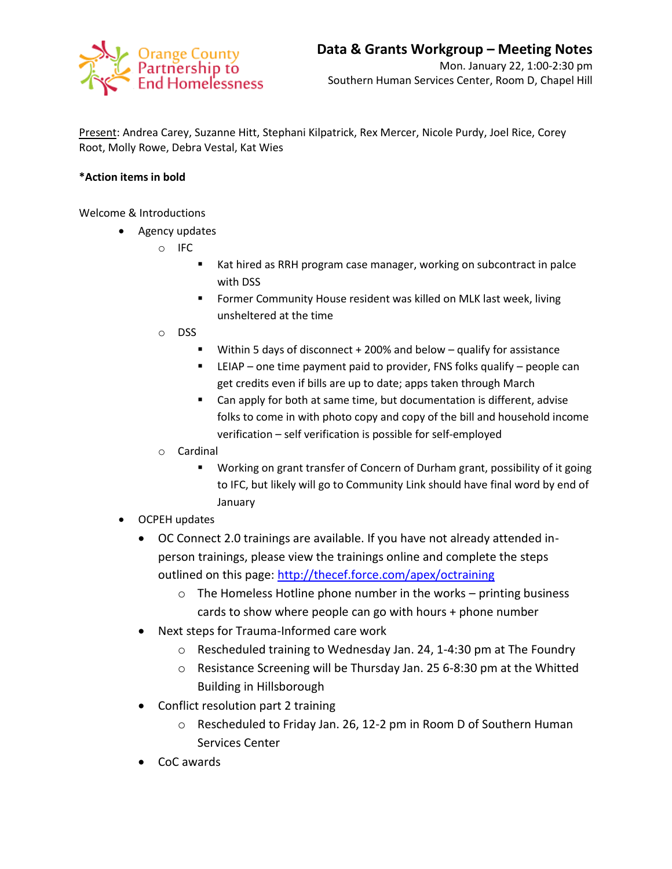

Present: Andrea Carey, Suzanne Hitt, Stephani Kilpatrick, Rex Mercer, Nicole Purdy, Joel Rice, Corey Root, Molly Rowe, Debra Vestal, Kat Wies

## **\*Action items in bold**

Welcome & Introductions

- Agency updates
	- o IFC
- Kat hired as RRH program case manager, working on subcontract in palce with DSS
- **F** Former Community House resident was killed on MLK last week, living unsheltered at the time
- o DSS
	- Within 5 days of disconnect + 200% and below qualify for assistance
	- LEIAP one time payment paid to provider, FNS folks qualify people can get credits even if bills are up to date; apps taken through March
	- Can apply for both at same time, but documentation is different, advise folks to come in with photo copy and copy of the bill and household income verification – self verification is possible for self-employed
- o Cardinal
	- Working on grant transfer of Concern of Durham grant, possibility of it going to IFC, but likely will go to Community Link should have final word by end of January
- OCPEH updates
	- OC Connect 2.0 trainings are available. If you have not already attended inperson trainings, please view the trainings online and complete the steps outlined on this page:<http://thecef.force.com/apex/octraining>
		- $\circ$  The Homeless Hotline phone number in the works printing business cards to show where people can go with hours + phone number
	- Next steps for Trauma-Informed care work
		- o Rescheduled training to Wednesday Jan. 24, 1-4:30 pm at The Foundry
		- o Resistance Screening will be Thursday Jan. 25 6-8:30 pm at the Whitted Building in Hillsborough
	- Conflict resolution part 2 training
		- o Rescheduled to Friday Jan. 26, 12-2 pm in Room D of Southern Human Services Center
	- CoC awards